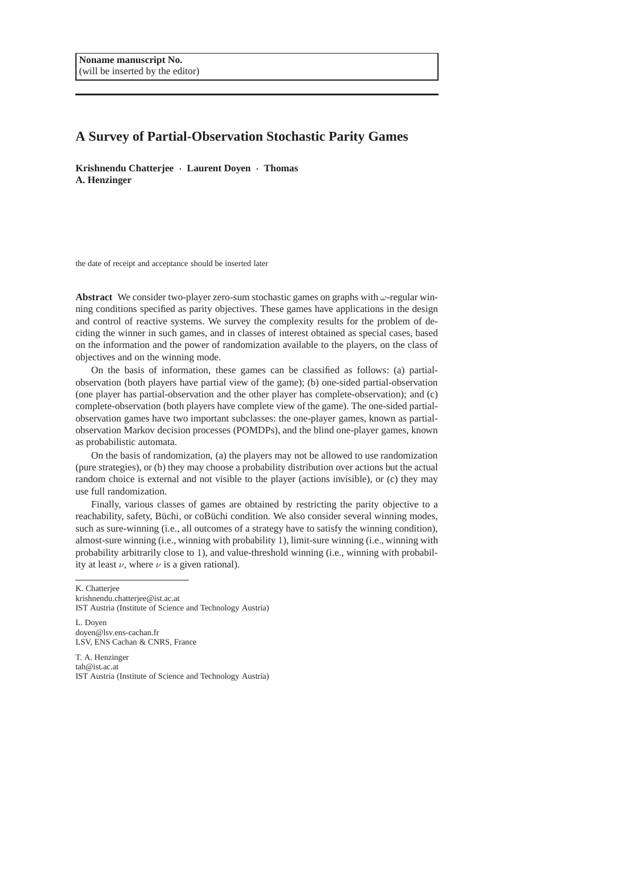# **A Survey of Partial-Observation Stochastic Parity Games**

**Krishnendu Chatterjee** · **Laurent Doyen** · **Thomas A. Henzinger**

the date of receipt and acceptance should be inserted later

**Abstract** We consider two-player zero-sum stochastic games on graphs with ω-regular winning conditions specified as parity objectives. These games have applications in the design and control of reactive systems. We survey the complexity results for the problem of deciding the winner in such games, and in classes of interest obtained as special cases, based on the information and the power of randomization available to the players, on the class of objectives and on the winning mode.

On the basis of information, these games can be classified as follows: (a) partialobservation (both players have partial view of the game); (b) one-sided partial-observation (one player has partial-observation and the other player has complete-observation); and (c) complete-observation (both players have complete view of the game). The one-sided partialobservation games have two important subclasses: the one-player games, known as partialobservation Markov decision processes (POMDPs), and the blind one-player games, known as probabilistic automata.

On the basis of randomization, (a) the players may not be allowed to use randomization (pure strategies), or (b) they may choose a probability distribution over actions but the actual random choice is external and not visible to the player (actions invisible), or (c) they may use full randomization.

Finally, various classes of games are obtained by restricting the parity objective to a reachability, safety, Büchi, or coBüchi condition. We also consider several winning modes, such as sure-winning (i.e., all outcomes of a strategy have to satisfy the winning condition), almost-sure winning (i.e., winning with probability 1), limit-sure winning (i.e., winning with probability arbitrarily close to 1), and value-threshold winning (i.e., winning with probability at least  $\nu$ , where  $\nu$  is a given rational).

K. Chatterjee

L. Doyen doyen@lsv.ens-cachan.fr LSV, ENS Cachan & CNRS, France

T. A. Henzinger tah@ist.ac.at IST Austria (Institute of Science and Technology Austria)

krishnendu.chatterjee@ist.ac.at IST Austria (Institute of Science and Technology Austria)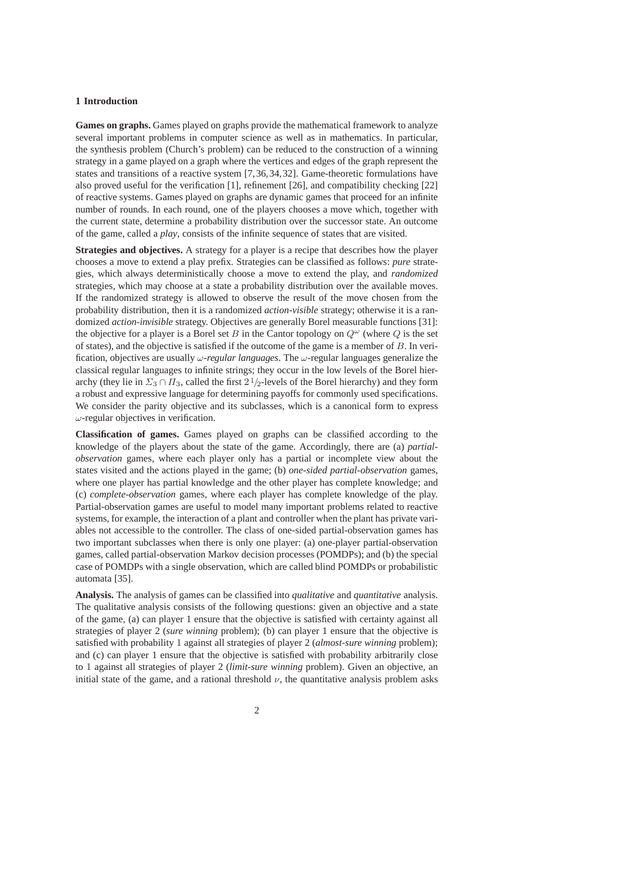## **1 Introduction**

**Games on graphs.** Games played on graphs provide the mathematical framework to analyze several important problems in computer science as well as in mathematics. In particular, the synthesis problem (Church's problem) can be reduced to the construction of a winning strategy in a game played on a graph where the vertices and edges of the graph represent the states and transitions of a reactive system [7,36,34,32]. Game-theoretic formulations have also proved useful for the verification [1], refinement [26], and compatibility checking [22] of reactive systems. Games played on graphs are dynamic games that proceed for an infinite number of rounds. In each round, one of the players chooses a move which, together with the current state, determine a probability distribution over the successor state. An outcome of the game, called a *play*, consists of the infinite sequence of states that are visited.

**Strategies and objectives.** A strategy for a player is a recipe that describes how the player chooses a move to extend a play prefix. Strategies can be classified as follows: *pure* strategies, which always deterministically choose a move to extend the play, and *randomized* strategies, which may choose at a state a probability distribution over the available moves. If the randomized strategy is allowed to observe the result of the move chosen from the probability distribution, then it is a randomized *action-visible* strategy; otherwise it is a randomized *action-invisible* strategy. Objectives are generally Borel measurable functions [31]: the objective for a player is a Borel set B in the Cantor topology on  $Q^{\omega}$  (where Q is the set of states), and the objective is satisfied if the outcome of the game is a member of  $B$ . In verification, objectives are usually ω*-regular languages*. The ω-regular languages generalize the classical regular languages to infinite strings; they occur in the low levels of the Borel hierarchy (they lie in  $\Sigma_3 \cap \Pi_3$ , called the first  $2\frac{1}{2}$ -levels of the Borel hierarchy) and they form a robust and expressive language for determining payoffs for commonly used specifications. We consider the parity objective and its subclasses, which is a canonical form to express  $\omega$ -regular objectives in verification.

**Classification of games.** Games played on graphs can be classified according to the knowledge of the players about the state of the game. Accordingly, there are (a) *partialobservation* games, where each player only has a partial or incomplete view about the states visited and the actions played in the game; (b) *one-sided partial-observation* games, where one player has partial knowledge and the other player has complete knowledge; and (c) *complete-observation* games, where each player has complete knowledge of the play. Partial-observation games are useful to model many important problems related to reactive systems, for example, the interaction of a plant and controller when the plant has private variables not accessible to the controller. The class of one-sided partial-observation games has two important subclasses when there is only one player: (a) one-player partial-observation games, called partial-observation Markov decision processes (POMDPs); and (b) the special case of POMDPs with a single observation, which are called blind POMDPs or probabilistic automata [35].

**Analysis.** The analysis of games can be classified into *qualitative* and *quantitative* analysis. The qualitative analysis consists of the following questions: given an objective and a state of the game, (a) can player 1 ensure that the objective is satisfied with certainty against all strategies of player 2 (*sure winning* problem); (b) can player 1 ensure that the objective is satisfied with probability 1 against all strategies of player 2 (*almost-sure winning* problem); and (c) can player 1 ensure that the objective is satisfied with probability arbitrarily close to 1 against all strategies of player 2 (*limit-sure winning* problem). Given an objective, an initial state of the game, and a rational threshold  $\nu$ , the quantitative analysis problem asks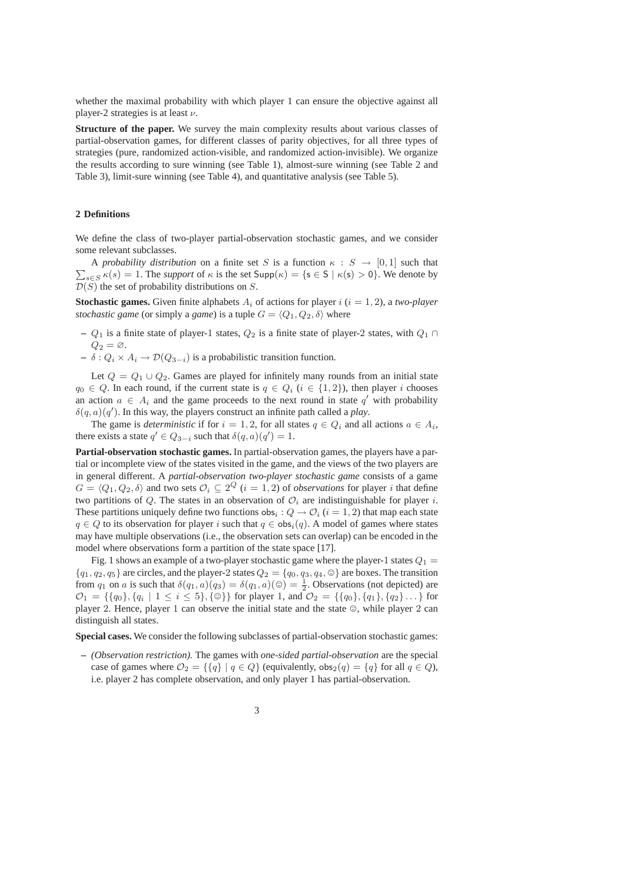whether the maximal probability with which player 1 can ensure the objective against all player-2 strategies is at least  $\nu$ .

**Structure of the paper.** We survey the main complexity results about various classes of partial-observation games, for different classes of parity objectives, for all three types of strategies (pure, randomized action-visible, and randomized action-invisible). We organize the results according to sure winning (see Table 1), almost-sure winning (see Table 2 and Table 3), limit-sure winning (see Table 4), and quantitative analysis (see Table 5).

### **2 Definitions**

We define the class of two-player partial-observation stochastic games, and we consider some relevant subclasses.

 $\sum_{s \in S} \kappa(s) = 1$ . The *support* of  $\kappa$  is the set  $\text{Supp}(\kappa) = \{s \in S \mid \kappa(s) > 0\}$ . We denote by A *probability distribution* on a finite set S is a function  $\kappa : S \to [0,1]$  such that  $\mathcal{D}(S)$  the set of probability distributions on S.

**Stochastic games.** Given finite alphabets  $A_i$  of actions for player  $i$  ( $i = 1, 2$ ), a *two-player stochastic game* (or simply a *game*) is a tuple  $G = \langle Q_1, Q_2, \delta \rangle$  where

- **–** Q<sup>1</sup> is a finite state of player-1 states, Q<sup>2</sup> is a finite state of player-2 states, with Q<sup>1</sup> ∩  $Q_2 = \varnothing$ .
- $\delta : Q_i \times A_i \rightarrow \mathcal{D}(Q_{3-i})$  is a probabilistic transition function.

Let  $Q = Q_1 \cup Q_2$ . Games are played for infinitely many rounds from an initial state  $q_0 \in Q$ . In each round, if the current state is  $q \in Q_i$   $(i \in \{1,2\})$ , then player i chooses an action  $a \in A_i$  and the game proceeds to the next round in state  $q'$  with probability  $\delta(q, a)(q')$ . In this way, the players construct an infinite path called a *play*.

The game is *deterministic* if for  $i = 1, 2$ , for all states  $q \in Q_i$  and all actions  $a \in A_i$ , there exists a state  $q' \in Q_{3-i}$  such that  $\delta(q, a)(q') = 1$ .

**Partial-observation stochastic games.** In partial-observation games, the players have a partial or incomplete view of the states visited in the game, and the views of the two players are in general different. A *partial-observation two-player stochastic game* consists of a game  $G = \langle Q_1, Q_2, \delta \rangle$  and two sets  $\mathcal{O}_i \subseteq 2^Q$   $(i = 1, 2)$  of *observations* for player *i* that define two partitions of Q. The states in an observation of  $\mathcal{O}_i$  are indistinguishable for player i. These partitions uniquely define two functions obs<sub>i</sub>:  $Q \rightarrow \mathcal{O}_i$  ( $i = 1, 2$ ) that map each state  $q \in Q$  to its observation for player i such that  $q \in obs_i(q)$ . A model of games where states may have multiple observations (i.e., the observation sets can overlap) can be encoded in the model where observations form a partition of the state space [17].

Fig. 1 shows an example of a two-player stochastic game where the player-1 states  $Q_1$  =  ${q_1, q_2, q_5}$  are circles, and the player-2 states  $Q_2 = {q_0, q_3, q_4, \mathcal{O}}$  are boxes. The transition from  $q_1$  on a is such that  $\delta(q_1, a)(q_3) = \delta(q_1, a)(\circledcirc) = \frac{1}{2}$ . Observations (not depicted) are  $\mathcal{O}_1 = \{\{q_0\}, \{q_i \mid 1 \leq i \leq 5\}, \{\circledcirc\}\}\$  for player 1, and  $\mathcal{O}_2 = \{\{q_0\}, \{q_1\}, \{q_2\} \dots\}$  for player 2. Hence, player 1 can observe the initial state and the state  $\circledcirc$ , while player 2 can distinguish all states.

**Special cases.** We consider the following subclasses of partial-observation stochastic games:

- **–** *(Observation restriction).* The games with *one-sided partial-observation* are the special case of games where  $\mathcal{O}_2 = \{ \{q\} \mid q \in Q \}$  (equivalently,  $\text{obs}_2(q) = \{q\}$  for all  $q \in Q$ ), i.e. player 2 has complete observation, and only player 1 has partial-observation.
	- 3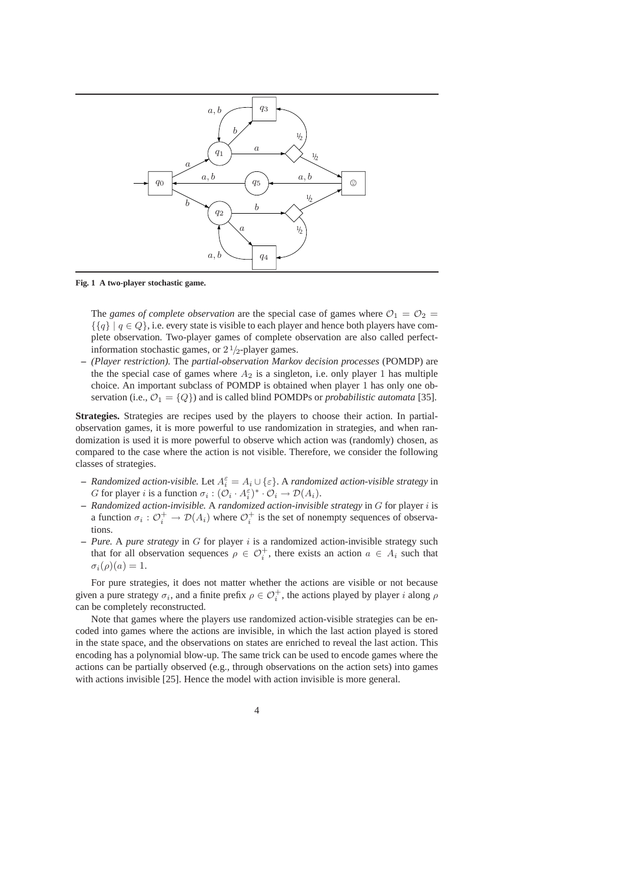

**Fig. 1 A two-player stochastic game.**

The *games of complete observation* are the special case of games where  $\mathcal{O}_1 = \mathcal{O}_2 =$  $\{\{q\} \mid q \in Q\}$ , i.e. every state is visible to each player and hence both players have complete observation. Two-player games of complete observation are also called perfectinformation stochastic games, or  $2 \frac{1}{2}$ -player games.

**–** *(Player restriction).* The *partial-observation Markov decision processes* (POMDP) are the the special case of games where  $A_2$  is a singleton, i.e. only player 1 has multiple choice. An important subclass of POMDP is obtained when player 1 has only one observation (i.e.,  $\mathcal{O}_1 = \{Q\}$ ) and is called blind POMDPs or *probabilistic automata* [35].

**Strategies.** Strategies are recipes used by the players to choose their action. In partialobservation games, it is more powerful to use randomization in strategies, and when randomization is used it is more powerful to observe which action was (randomly) chosen, as compared to the case where the action is not visible. Therefore, we consider the following classes of strategies.

- $\sim$  *Randomized action-visible.* Let  $A_i^{\varepsilon} = A_i \cup {\varepsilon}$ . A *randomized action-visible strategy* in G for player i is a function  $\sigma_i : (\mathcal{O}_i \cdot A_i^{\varepsilon})^* \cdot \mathcal{O}_i \to \mathcal{D}(A_i)$ .
- **–** *Randomized action-invisible.* A *randomized action-invisible strategy* in G for player i is a function  $\sigma_i: \mathcal{O}_i^+ \to \mathcal{D}(A_i)$  where  $\mathcal{O}_i^+$  is the set of nonempty sequences of observations.
- **–** *Pure.* A *pure strategy* in G for player i is a randomized action-invisible strategy such that for all observation sequences  $\rho \in \mathcal{O}_i^+$ , there exists an action  $a \in A_i$  such that  $\sigma_i(\rho)(a) = 1.$

For pure strategies, it does not matter whether the actions are visible or not because given a pure strategy  $\sigma_i$ , and a finite prefix  $\rho \in \mathcal{O}_i^+$ , the actions played by player i along  $\rho$ can be completely reconstructed.

Note that games where the players use randomized action-visible strategies can be encoded into games where the actions are invisible, in which the last action played is stored in the state space, and the observations on states are enriched to reveal the last action. This encoding has a polynomial blow-up. The same trick can be used to encode games where the actions can be partially observed (e.g., through observations on the action sets) into games with actions invisible [25]. Hence the model with action invisible is more general.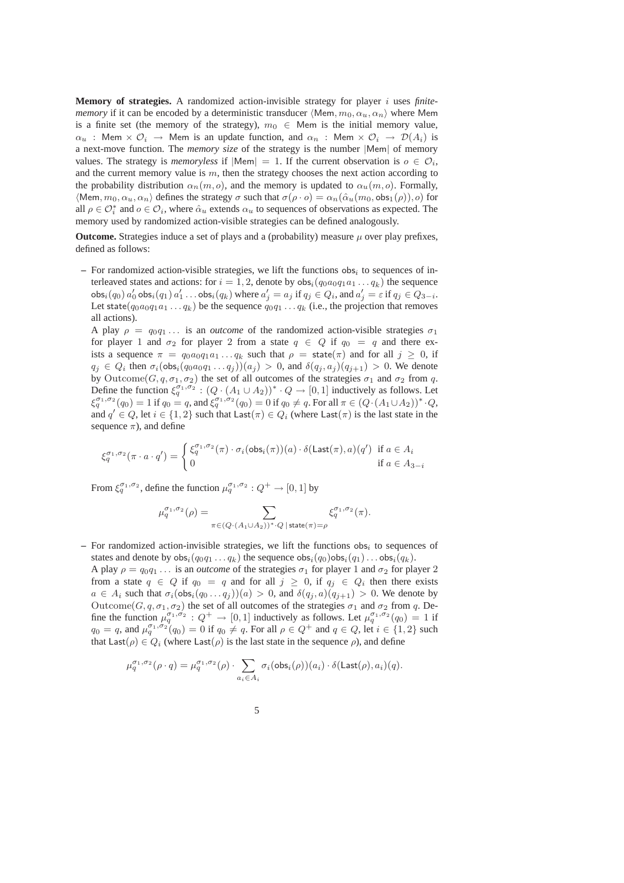**Memory of strategies.** A randomized action-invisible strategy for player i uses *finitememory* if it can be encoded by a deterministic transducer  $\langle \text{Mem}, m_0, \alpha_u, \alpha_n \rangle$  where Mem is a finite set (the memory of the strategy),  $m_0 \in$  Mem is the initial memory value,  $\alpha_u$  : Mem  $\times$   $\mathcal{O}_i$   $\rightarrow$  Mem is an update function, and  $\alpha_n$  : Mem  $\times$   $\mathcal{O}_i$   $\rightarrow$   $\mathcal{D}(A_i)$  is a next-move function. The *memory size* of the strategy is the number |Mem| of memory values. The strategy is *memoryless* if  $|\text{Mem}| = 1$ . If the current observation is  $o \in \mathcal{O}_i$ , and the current memory value is  $m$ , then the strategy chooses the next action according to the probability distribution  $\alpha_n(m, o)$ , and the memory is updated to  $\alpha_n(m, o)$ . Formally,  $\langle \text{Mem}, m_0, \alpha_u, \alpha_n \rangle$  defines the strategy  $\sigma$  such that  $\sigma(\rho \cdot o) = \alpha_n(\hat{\alpha}_u(m_0, \text{obs}_1(\rho)), o)$  for all  $\rho \in \mathcal{O}_i^*$  and  $o \in \mathcal{O}_i$ , where  $\hat{\alpha}_u$  extends  $\alpha_u$  to sequences of observations as expected. The memory used by randomized action-visible strategies can be defined analogously.

**Outcome.** Strategies induce a set of plays and a (probability) measure  $\mu$  over play prefixes, defined as follows:

 $-$  For randomized action-visible strategies, we lift the functions obs<sub>i</sub> to sequences of interleaved states and actions: for  $i = 1, 2$ , denote by  $obs_i(q_0a_0q_1a_1 \ldots q_k)$  the sequence  $\mathsf{obs}_i(q_0) a'_0 \mathsf{obs}_i(q_1) a'_1 \dots \mathsf{obs}_i(q_k)$  where  $a'_j = a_j$  if  $q_j \in Q_i$ , and  $a'_j = \varepsilon$  if  $q_j \in Q_{3-i}$ . Let state( $q_0a_0q_1a_1 \ldots q_k$ ) be the sequence  $q_0q_1 \ldots q_k$  (i.e., the projection that removes all actions).

A play  $\rho = q_0 q_1 \dots$  is an *outcome* of the randomized action-visible strategies  $\sigma_1$ for player 1 and  $\sigma_2$  for player 2 from a state  $q \in Q$  if  $q_0 = q$  and there exists a sequence  $\pi = q_0 a_0 q_1 a_1 \dots q_k$  such that  $\rho = \text{state}(\pi)$  and for all  $j \geq 0$ , if  $q_j \in Q_i$  then  $\sigma_i(\textsf{obs}_i(q_0a_0q_1\dots q_j))(a_j) > 0$ , and  $\delta(q_j, a_j)(q_{j+1}) > 0$ . We denote by Outcome(G, q,  $\sigma_1$ ,  $\sigma_2$ ) the set of all outcomes of the strategies  $\sigma_1$  and  $\sigma_2$  from q. Define the function  $\xi_q^{\sigma_1,\sigma_2}$ :  $(Q \cdot (A_1 \cup A_2))^* \cdot Q \rightarrow [0,1]$  inductively as follows. Let  $\xi_q^{\sigma_1,\sigma_2}(q_0) = 1$  if  $q_0 = q$ , and  $\xi_q^{\sigma_1,\sigma_2}(q_0) = 0$  if  $q_0 \neq q$ . For all  $\pi \in (Q \cdot (A_1 \cup A_2))^* \cdot Q$ , and  $q' \in Q$ , let  $i \in \{1,2\}$  such that  $\textsf{Last}(\pi) \in Q_i$  (where  $\textsf{Last}(\pi)$  is the last state in the sequence  $\pi$ ), and define

$$
\xi_q^{\sigma_1, \sigma_2}(\pi \cdot a \cdot q') = \begin{cases} \xi_q^{\sigma_1, \sigma_2}(\pi) \cdot \sigma_i(\text{obs}_i(\pi))(a) \cdot \delta(\text{Last}(\pi), a)(q') & \text{if } a \in A_i \\ 0 & \text{if } a \in A_{3-i} \end{cases}
$$

From  $\xi_q^{\sigma_1,\sigma_2}$ , define the function  $\mu_q^{\sigma_1,\sigma_2}$  :  $Q^+ \to [0,1]$  by

$$
\mu_q^{\sigma_1,\sigma_2}(\rho) = \sum_{\pi \in (Q \cdot (A_1 \cup A_2))^* \cdot Q \mid \text{state}(\pi) = \rho} \xi_q^{\sigma_1,\sigma_2}(\pi).
$$

- $-$  For randomized action-invisible strategies, we lift the functions  $obs<sub>i</sub>$  to sequences of states and denote by  $obs_i(q_0q_1 \tldots q_k)$  the sequence  $obs_i(q_0)obs_i(q_1) \tldots obs_i(q_k)$ .
	- A play  $\rho = q_0 q_1 \dots$  is an *outcome* of the strategies  $\sigma_1$  for player 1 and  $\sigma_2$  for player 2 from a state  $q \in Q$  if  $q_0 = q$  and for all  $j \geq 0$ , if  $q_j \in Q_i$  then there exists  $a \in A_i$  such that  $\sigma_i(\text{obs}_i(q_0 \ldots q_i))(a) > 0$ , and  $\delta(q_i, a)(q_{i+1}) > 0$ . We denote by Outcome(G, q,  $\sigma_1$ ,  $\sigma_2$ ) the set of all outcomes of the strategies  $\sigma_1$  and  $\sigma_2$  from q. Define the function  $\mu_q^{\sigma_1,\sigma_2}: Q^+ \to [0,1]$  inductively as follows. Let  $\mu_q^{\sigma_1,\sigma_2}(q_0) = 1$  if  $q_0 = q$ , and  $\mu_q^{\sigma_1, \sigma_2}(q_0) = 0$  if  $q_0 \neq q$ . For all  $\rho \in Q^+$  and  $q \in Q$ , let  $i \in \{1, 2\}$  such that Last( $\rho$ )  $\in Q_i$  (where Last( $\rho$ ) is the last state in the sequence  $\rho$ ), and define

$$
\mu_q^{\sigma_1,\sigma_2}(\rho \cdot q) = \mu_q^{\sigma_1,\sigma_2}(\rho) \cdot \sum_{a_i \in A_i} \sigma_i(\text{obs}_i(\rho))(a_i) \cdot \delta(\text{Last}(\rho),a_i)(q).
$$

5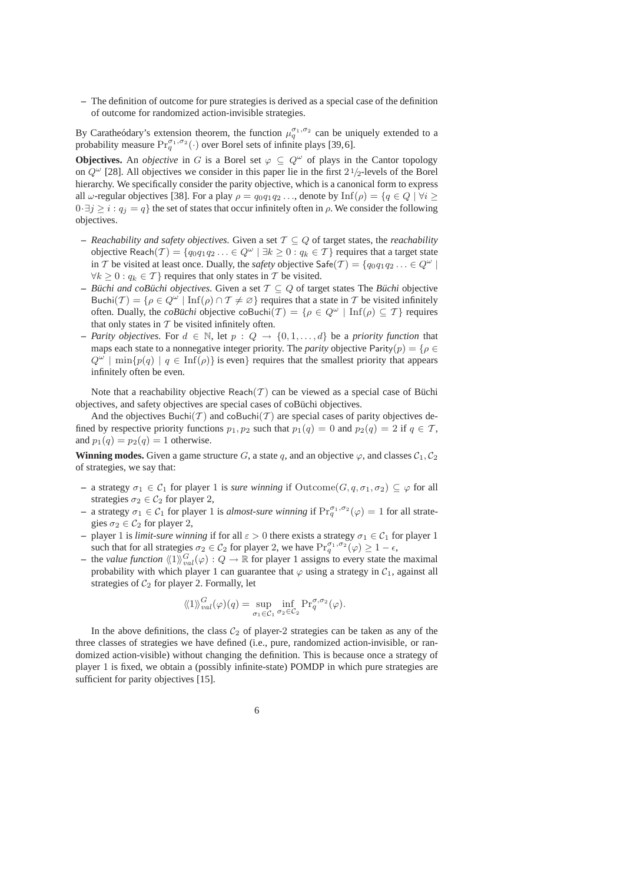**–** The definition of outcome for pure strategies is derived as a special case of the definition of outcome for randomized action-invisible strategies.

By Caratheódary's extension theorem, the function  $\mu_q^{\sigma_1,\sigma_2}$  can be uniquely extended to a probability measure  $\Pr_q^{\sigma_1, \sigma_2}(\cdot)$  over Borel sets of infinite plays [39,6].

**Objectives.** An *objective* in G is a Borel set  $\varphi \subseteq Q^{\omega}$  of plays in the Cantor topology on  $Q^{\omega}$  [28]. All objectives we consider in this paper lie in the first  $2\frac{1}{2}$ -levels of the Borel hierarchy. We specifically consider the parity objective, which is a canonical form to express all  $\omega$ -regular objectives [38]. For a play  $\rho = q_0q_1q_2...$ , denote by  $\text{Inf}(\rho) = \{q \in Q \mid \forall i \geq 1\}$  $0·\exists j \geq i : q_j = q$  the set of states that occur infinitely often in  $\rho$ . We consider the following objectives.

- **–** *Reachability and safety objectives.* Given a set T ⊆ Q of target states, the *reachability* objective Reach $(\mathcal{T}) = \{q_0q_1q_2\ldots \in Q^{\omega} \mid \exists k \geq 0 : q_k \in \mathcal{T}\}\)$  requires that a target state in T be visited at least once. Dually, the *safety* objective  $\mathsf{Safe}(\mathcal{T}) = \{q_0q_1q_2... \in Q^{\omega} \mid \mathcal{S} \in \mathcal{S} \}$  $\forall k > 0 : q_k \in \mathcal{T}$  requires that only states in T be visited.
- **–** *Buchi and coBuchi objectives.* Given a set  $\mathcal{T} \subseteq Q$  of target states The *Buchi* objective Buchi $(\mathcal{T}) = \{ \rho \in Q^{\omega} \mid \text{Inf}(\rho) \cap \mathcal{T} \neq \emptyset \}$  requires that a state in  $\mathcal{T}$  be visited infinitely often. Dually, the *coBuchi* objective coBuchi $(\mathcal{T}) = \{ \rho \in \mathcal{Q}^{\omega} \mid \text{Inf}(\rho) \subseteq \mathcal{T} \}$  requires that only states in  $T$  be visited infinitely often.
- **–** *Parity objectives.* For  $d \text{ ∈ ℕ}$ , let  $p : Q → \{0, 1, \ldots, d\}$  be a *priority function* that maps each state to a nonnegative integer priority. The *parity* objective Parity $(p) = \{ \rho \in$  $Q^{\omega}$  | min{ $p(q)$  |  $q \in \text{Inf}(\rho)$ } is even} requires that the smallest priority that appears infinitely often be even.

Note that a reachability objective Reach( $T$ ) can be viewed as a special case of Büchi objectives, and safety objectives are special cases of coBüchi objectives.

And the objectives Buchi(T) and coBuchi(T) are special cases of parity objectives defined by respective priority functions  $p_1, p_2$  such that  $p_1(q) = 0$  and  $p_2(q) = 2$  if  $q \in \mathcal{T}$ , and  $p_1(q) = p_2(q) = 1$  otherwise.

**Winning modes.** Given a game structure G, a state q, and an objective  $\varphi$ , and classes  $C_1$ ,  $C_2$ of strategies, we say that:

- $-$  a strategy  $σ₁ ∈ C₁$  for player 1 is *sure winning* if Outcome( $G, q, σ₁, σ₂) ⊆ φ$  for all strategies  $\sigma_2 \in C_2$  for player 2,
- **–** a strategy  $\sigma_1 \in C_1$  for player 1 is *almost-sure winning* if  $\Pr_q^{\sigma_1,\sigma_2}(\varphi) = 1$  for all strategies  $\sigma_2 \in C_2$  for player 2,
- **–** player 1 is *limit-sure winning* if for all  $\varepsilon > 0$  there exists a strategy  $\sigma_1 \in C_1$  for player 1 such that for all strategies  $\sigma_2 \in C_2$  for player 2, we have  $\Pr_q^{\sigma_1, \sigma_2}(\varphi) \geq 1 - \epsilon$ ,
- **−** the *value function*  $\langle\!\langle 1 \rangle\!\rangle_{val}^G(\varphi) : Q \to \mathbb{R}$  for player 1 assigns to every state the maximal probability with which player 1 can guarantee that  $\varphi$  using a strategy in  $C_1$ , against all strategies of  $C_2$  for player 2. Formally, let

$$
\langle \langle 1 \rangle \rangle_{val}^G(\varphi)(q) = \sup_{\sigma_1 \in \mathcal{C}_1} \inf_{\sigma_2 \in \mathcal{C}_2} \Pr_q^{\sigma, \sigma_2}(\varphi).
$$

In the above definitions, the class  $C_2$  of player-2 strategies can be taken as any of the three classes of strategies we have defined (i.e., pure, randomized action-invisible, or randomized action-visible) without changing the definition. This is because once a strategy of player 1 is fixed, we obtain a (possibly infinite-state) POMDP in which pure strategies are sufficient for parity objectives [15].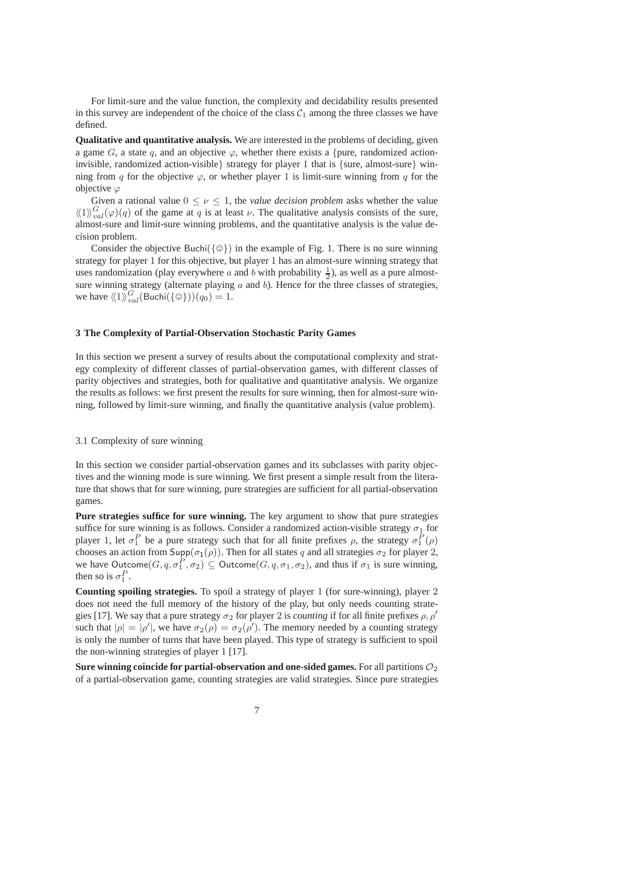For limit-sure and the value function, the complexity and decidability results presented in this survey are independent of the choice of the class  $C_1$  among the three classes we have defined.

**Qualitative and quantitative analysis.** We are interested in the problems of deciding, given a game G, a state q, and an objective  $\varphi$ , whether there exists a {pure, randomized actioninvisible, randomized action-visible strategy for player 1 that is {sure, almost-sure} winning from q for the objective  $\varphi$ , or whether player 1 is limit-sure winning from q for the objective  $\varphi$ 

Given a rational value  $0 \le \nu \le 1$ , the *value decision problem* asks whether the value  $\langle \langle 1 \rangle_{val}^G(\varphi)(q)$  of the game at q is at least v. The qualitative analysis consists of the sure, almost-sure and limit-sure winning problems, and the quantitative analysis is the value decision problem.

Consider the objective Buchi( $\{\circledcirc\}$ ) in the example of Fig. 1. There is no sure winning strategy for player 1 for this objective, but player 1 has an almost-sure winning strategy that uses randomization (play everywhere a and b with probability  $\frac{1}{2}$ ), as well as a pure almostsure winning strategy (alternate playing  $a$  and  $b$ ). Hence for the three classes of strategies, we have  $\langle \langle 1 \rangle \rangle_{val}^G$  (Buchi $(\{\circledcirc\})$ ) $(q_0) = 1$ .

### **3 The Complexity of Partial-Observation Stochastic Parity Games**

In this section we present a survey of results about the computational complexity and strategy complexity of different classes of partial-observation games, with different classes of parity objectives and strategies, both for qualitative and quantitative analysis. We organize the results as follows: we first present the results for sure winning, then for almost-sure winning, followed by limit-sure winning, and finally the quantitative analysis (value problem).

### 3.1 Complexity of sure winning

In this section we consider partial-observation games and its subclasses with parity objectives and the winning mode is sure winning. We first present a simple result from the literature that shows that for sure winning, pure strategies are sufficient for all partial-observation games.

**Pure strategies suffice for sure winning.** The key argument to show that pure strategies suffice for sure winning is as follows. Consider a randomized action-visible strategy  $\sigma_1$  for player 1, let  $\sigma_1^P$  be a pure strategy such that for all finite prefixes  $\rho$ , the strategy  $\sigma_1^P(\rho)$ chooses an action from  $\text{Supp}(\sigma_1(\rho))$ . Then for all states q and all strategies  $\sigma_2$  for player 2, we have Outcome $(G, q, \sigma_1^P, \sigma_2) \subseteq$  Outcome $(G, q, \sigma_1, \sigma_2)$ , and thus if  $\sigma_1$  is sure winning, then so is  $\sigma_1^P$ .

**Counting spoiling strategies.** To spoil a strategy of player 1 (for sure-winning), player 2 does not need the full memory of the history of the play, but only needs counting strategies [17]. We say that a pure strategy  $\sigma_2$  for player 2 is *counting* if for all finite prefixes  $\rho$ ,  $\rho'$ such that  $|\rho| = |\rho'|$ , we have  $\sigma_2(\rho) = \sigma_2(\rho')$ . The memory needed by a counting strategy is only the number of turns that have been played. This type of strategy is sufficient to spoil the non-winning strategies of player 1 [17].

**Sure winning coincide for partial-observation and one-sided games.** For all partitions  $\mathcal{O}_2$ of a partial-observation game, counting strategies are valid strategies. Since pure strategies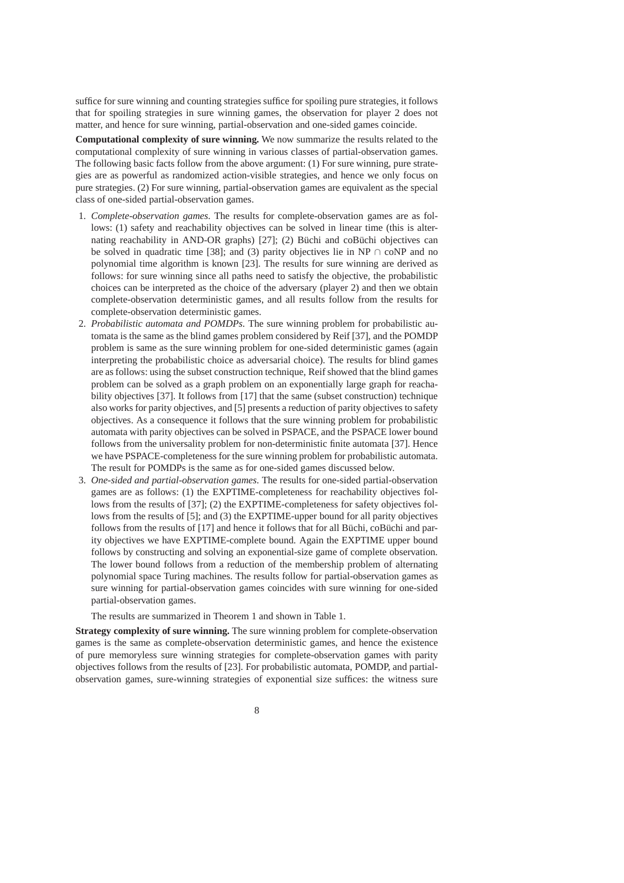suffice for sure winning and counting strategies suffice for spoiling pure strategies, it follows that for spoiling strategies in sure winning games, the observation for player 2 does not matter, and hence for sure winning, partial-observation and one-sided games coincide.

**Computational complexity of sure winning.** We now summarize the results related to the computational complexity of sure winning in various classes of partial-observation games. The following basic facts follow from the above argument: (1) For sure winning, pure strategies are as powerful as randomized action-visible strategies, and hence we only focus on pure strategies. (2) For sure winning, partial-observation games are equivalent as the special class of one-sided partial-observation games.

- 1. *Complete-observation games.* The results for complete-observation games are as follows: (1) safety and reachability objectives can be solved in linear time (this is alternating reachability in AND-OR graphs) [27]; (2) Büchi and coBüchi objectives can be solved in quadratic time [38]; and (3) parity objectives lie in NP ∩ coNP and no polynomial time algorithm is known [23]. The results for sure winning are derived as follows: for sure winning since all paths need to satisfy the objective, the probabilistic choices can be interpreted as the choice of the adversary (player 2) and then we obtain complete-observation deterministic games, and all results follow from the results for complete-observation deterministic games.
- 2. *Probabilistic automata and POMDPs.* The sure winning problem for probabilistic automata is the same as the blind games problem considered by Reif [37], and the POMDP problem is same as the sure winning problem for one-sided deterministic games (again interpreting the probabilistic choice as adversarial choice). The results for blind games are as follows: using the subset construction technique, Reif showed that the blind games problem can be solved as a graph problem on an exponentially large graph for reachability objectives [37]. It follows from [17] that the same (subset construction) technique also works for parity objectives, and [5] presents a reduction of parity objectives to safety objectives. As a consequence it follows that the sure winning problem for probabilistic automata with parity objectives can be solved in PSPACE, and the PSPACE lower bound follows from the universality problem for non-deterministic finite automata [37]. Hence we have PSPACE-completeness for the sure winning problem for probabilistic automata. The result for POMDPs is the same as for one-sided games discussed below.
- 3. *One-sided and partial-observation games.* The results for one-sided partial-observation games are as follows: (1) the EXPTIME-completeness for reachability objectives follows from the results of [37]; (2) the EXPTIME-completeness for safety objectives follows from the results of [5]; and (3) the EXPTIME-upper bound for all parity objectives follows from the results of  $[17]$  and hence it follows that for all Büchi, coBüchi and parity objectives we have EXPTIME-complete bound. Again the EXPTIME upper bound follows by constructing and solving an exponential-size game of complete observation. The lower bound follows from a reduction of the membership problem of alternating polynomial space Turing machines. The results follow for partial-observation games as sure winning for partial-observation games coincides with sure winning for one-sided partial-observation games.

The results are summarized in Theorem 1 and shown in Table 1.

**Strategy complexity of sure winning.** The sure winning problem for complete-observation games is the same as complete-observation deterministic games, and hence the existence of pure memoryless sure winning strategies for complete-observation games with parity objectives follows from the results of [23]. For probabilistic automata, POMDP, and partialobservation games, sure-winning strategies of exponential size suffices: the witness sure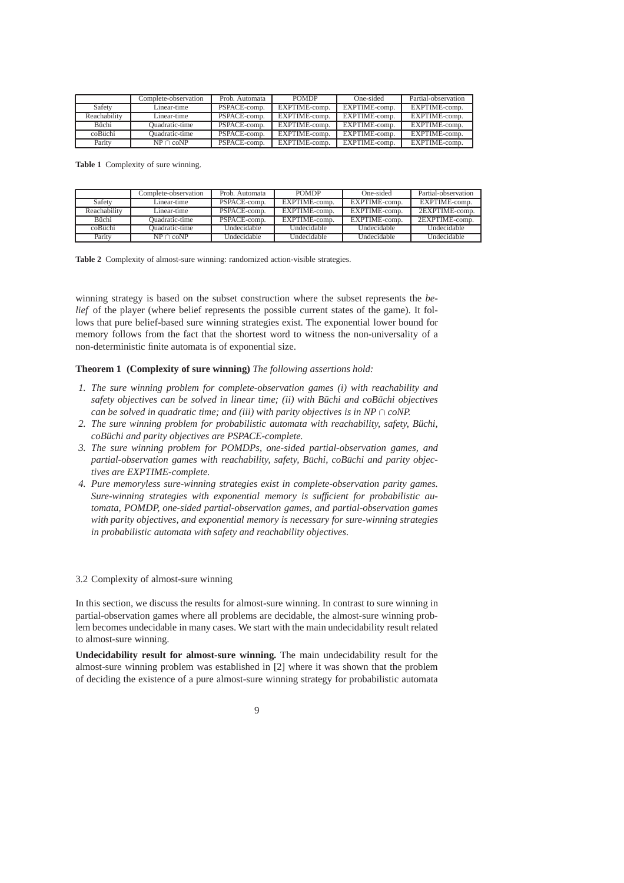|              | Complete-observation | Prob. Automata | <b>POMDP</b>  | One-sided     | Partial-observation |
|--------------|----------------------|----------------|---------------|---------------|---------------------|
| Safety       | Linear-time          | PSPACE-comp.   | EXPTIME-comp. | EXPTIME-comp. | EXPTIME-comp.       |
| Reachability | Linear-time          | PSPACE-comp.   | EXPTIME-comp. | EXPTIME-comp. | EXPTIME-comp.       |
| <b>Büchi</b> | Ouadratic-time       | PSPACE-comp.   | EXPTIME-comp. | EXPTIME-comp. | EXPTIME-comp.       |
| coBüchi      | Ouadratic-time       | PSPACE-comp.   | EXPTIME-comp. | EXPTIME-comp. | EXPTIME-comp.       |
| Parity       | $NP \cap coNP$       | PSPACE-comp.   | EXPTIME-comp. | EXPTIME-comp. | EXPTIME-comp.       |

**Table 1** Complexity of sure winning.

|              | Complete-observation | Prob. Automata | <b>POMDP</b>  | One-sided          | Partial-observation |
|--------------|----------------------|----------------|---------------|--------------------|---------------------|
| Safety       | Linear-time          | PSPACE-comp.   | EXPTIME-comp. | EXPTIME-comp.      | EXPTIME-comp.       |
| Reachability | Linear-time          | PSPACE-comp.   | EXPTIME-comp. | EXPTIME-comp.      | 2EXPTIME-comp.      |
| <b>Büchi</b> | Ouadratic-time       | PSPACE-comp.   | EXPTIME-comp. | EXPTIME-comp.      | 2EXPTIME-comp.      |
| coBüchi      | Ouadratic-time       | Undecidable    | Undecidable   | Undecidable        | Undecidable         |
| Parity       | $NP \cap coNP$       | Undecidable    | Undecidable   | <b>Undecidable</b> | Undecidable         |

**Table 2** Complexity of almost-sure winning: randomized action-visible strategies.

winning strategy is based on the subset construction where the subset represents the *belief* of the player (where belief represents the possible current states of the game). It follows that pure belief-based sure winning strategies exist. The exponential lower bound for memory follows from the fact that the shortest word to witness the non-universality of a non-deterministic finite automata is of exponential size.

#### **Theorem 1 (Complexity of sure winning)** *The following assertions hold:*

- *1. The sure winning problem for complete-observation games (i) with reachability and safety objectives can be solved in linear time; (ii) with Büchi and coBüchi objectives can be solved in quadratic time; and (iii) with parity objectives is in NP*  $\cap$  *coNP.*
- *2. The sure winning problem for probabilistic automata with reachability, safety, Buchi, ¨ coBuchi and parity objectives are PSPACE-complete. ¨*
- *3. The sure winning problem for POMDPs, one-sided partial-observation games, and partial-observation games with reachability, safety, Büchi, coBüchi and parity objectives are EXPTIME-complete.*
- *4. Pure memoryless sure-winning strategies exist in complete-observation parity games. Sure-winning strategies with exponential memory is sufficient for probabilistic automata, POMDP, one-sided partial-observation games, and partial-observation games with parity objectives, and exponential memory is necessary for sure-winning strategies in probabilistic automata with safety and reachability objectives.*

### 3.2 Complexity of almost-sure winning

In this section, we discuss the results for almost-sure winning. In contrast to sure winning in partial-observation games where all problems are decidable, the almost-sure winning problem becomes undecidable in many cases. We start with the main undecidability result related to almost-sure winning.

**Undecidability result for almost-sure winning.** The main undecidability result for the almost-sure winning problem was established in [2] where it was shown that the problem of deciding the existence of a pure almost-sure winning strategy for probabilistic automata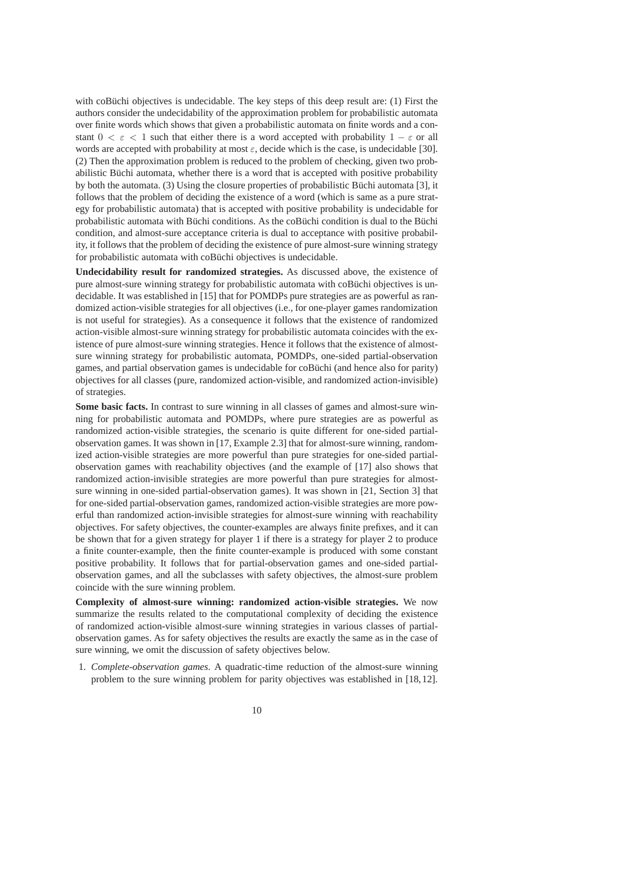with coBüchi objectives is undecidable. The key steps of this deep result are:  $(1)$  First the authors consider the undecidability of the approximation problem for probabilistic automata over finite words which shows that given a probabilistic automata on finite words and a constant  $0 < \varepsilon < 1$  such that either there is a word accepted with probability  $1 - \varepsilon$  or all words are accepted with probability at most  $\varepsilon$ , decide which is the case, is undecidable [30]. (2) Then the approximation problem is reduced to the problem of checking, given two probabilistic Büchi automata, whether there is a word that is accepted with positive probability by both the automata. (3) Using the closure properties of probabilistic B¨uchi automata [3], it follows that the problem of deciding the existence of a word (which is same as a pure strategy for probabilistic automata) that is accepted with positive probability is undecidable for probabilistic automata with Büchi conditions. As the coBüchi condition is dual to the Büchi condition, and almost-sure acceptance criteria is dual to acceptance with positive probability, it follows that the problem of deciding the existence of pure almost-sure winning strategy for probabilistic automata with coBüchi objectives is undecidable.

**Undecidability result for randomized strategies.** As discussed above, the existence of pure almost-sure winning strategy for probabilistic automata with coBüchi objectives is undecidable. It was established in [15] that for POMDPs pure strategies are as powerful as randomized action-visible strategies for all objectives (i.e., for one-player games randomization is not useful for strategies). As a consequence it follows that the existence of randomized action-visible almost-sure winning strategy for probabilistic automata coincides with the existence of pure almost-sure winning strategies. Hence it follows that the existence of almostsure winning strategy for probabilistic automata, POMDPs, one-sided partial-observation games, and partial observation games is undecidable for coBüchi (and hence also for parity) objectives for all classes (pure, randomized action-visible, and randomized action-invisible) of strategies.

**Some basic facts.** In contrast to sure winning in all classes of games and almost-sure winning for probabilistic automata and POMDPs, where pure strategies are as powerful as randomized action-visible strategies, the scenario is quite different for one-sided partialobservation games. It was shown in [17, Example 2.3] that for almost-sure winning, randomized action-visible strategies are more powerful than pure strategies for one-sided partialobservation games with reachability objectives (and the example of [17] also shows that randomized action-invisible strategies are more powerful than pure strategies for almostsure winning in one-sided partial-observation games). It was shown in [21, Section 3] that for one-sided partial-observation games, randomized action-visible strategies are more powerful than randomized action-invisible strategies for almost-sure winning with reachability objectives. For safety objectives, the counter-examples are always finite prefixes, and it can be shown that for a given strategy for player 1 if there is a strategy for player 2 to produce a finite counter-example, then the finite counter-example is produced with some constant positive probability. It follows that for partial-observation games and one-sided partialobservation games, and all the subclasses with safety objectives, the almost-sure problem coincide with the sure winning problem.

**Complexity of almost-sure winning: randomized action-visible strategies.** We now summarize the results related to the computational complexity of deciding the existence of randomized action-visible almost-sure winning strategies in various classes of partialobservation games. As for safety objectives the results are exactly the same as in the case of sure winning, we omit the discussion of safety objectives below.

1. *Complete-observation games.* A quadratic-time reduction of the almost-sure winning problem to the sure winning problem for parity objectives was established in [18,12].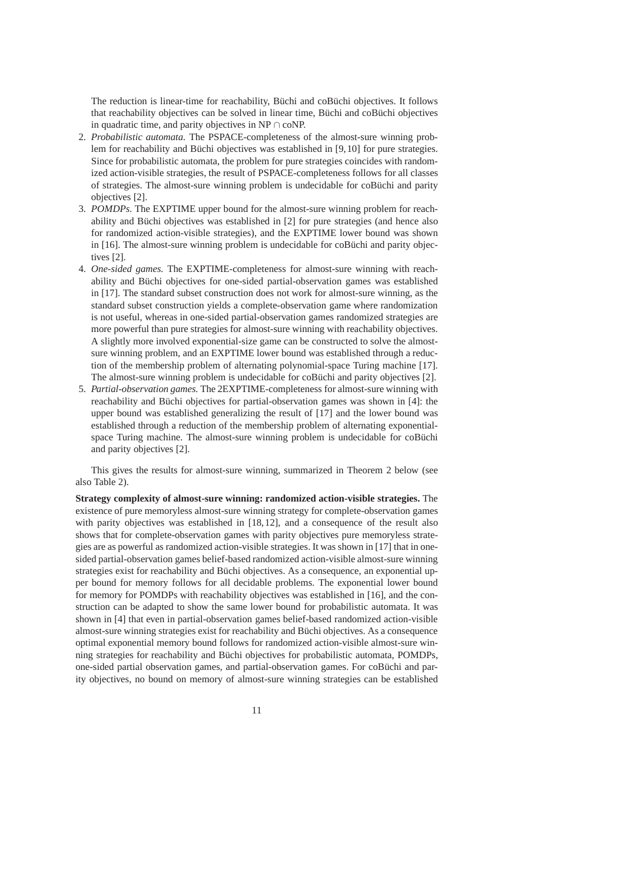The reduction is linear-time for reachability, Büchi and coBüchi objectives. It follows that reachability objectives can be solved in linear time, Büchi and coBüchi objectives in quadratic time, and parity objectives in NP ∩ coNP.

- 2. *Probabilistic automata.* The PSPACE-completeness of the almost-sure winning problem for reachability and Büchi objectives was established in [9,10] for pure strategies. Since for probabilistic automata, the problem for pure strategies coincides with randomized action-visible strategies, the result of PSPACE-completeness follows for all classes of strategies. The almost-sure winning problem is undecidable for coBüchi and parity objectives [2].
- 3. *POMDPs.* The EXPTIME upper bound for the almost-sure winning problem for reachability and Büchi objectives was established in [2] for pure strategies (and hence also for randomized action-visible strategies), and the EXPTIME lower bound was shown in [16]. The almost-sure winning problem is undecidable for coBüchi and parity objectives [2].
- 4. *One-sided games.* The EXPTIME-completeness for almost-sure winning with reachability and Büchi objectives for one-sided partial-observation games was established in [17]. The standard subset construction does not work for almost-sure winning, as the standard subset construction yields a complete-observation game where randomization is not useful, whereas in one-sided partial-observation games randomized strategies are more powerful than pure strategies for almost-sure winning with reachability objectives. A slightly more involved exponential-size game can be constructed to solve the almostsure winning problem, and an EXPTIME lower bound was established through a reduction of the membership problem of alternating polynomial-space Turing machine [17]. The almost-sure winning problem is undecidable for coBüchi and parity objectives [2].
- 5. *Partial-observation games.* The 2EXPTIME-completeness for almost-sure winning with reachability and Büchi objectives for partial-observation games was shown in [4]: the upper bound was established generalizing the result of [17] and the lower bound was established through a reduction of the membership problem of alternating exponentialspace Turing machine. The almost-sure winning problem is undecidable for coBüchi and parity objectives [2].

This gives the results for almost-sure winning, summarized in Theorem 2 below (see also Table 2).

**Strategy complexity of almost-sure winning: randomized action-visible strategies.** The existence of pure memoryless almost-sure winning strategy for complete-observation games with parity objectives was established in [18,12], and a consequence of the result also shows that for complete-observation games with parity objectives pure memoryless strategies are as powerful as randomized action-visible strategies. It was shown in [17] that in onesided partial-observation games belief-based randomized action-visible almost-sure winning strategies exist for reachability and Büchi objectives. As a consequence, an exponential upper bound for memory follows for all decidable problems. The exponential lower bound for memory for POMDPs with reachability objectives was established in [16], and the construction can be adapted to show the same lower bound for probabilistic automata. It was shown in [4] that even in partial-observation games belief-based randomized action-visible almost-sure winning strategies exist for reachability and Büchi objectives. As a consequence optimal exponential memory bound follows for randomized action-visible almost-sure winning strategies for reachability and Büchi objectives for probabilistic automata, POMDPs, one-sided partial observation games, and partial-observation games. For coBüchi and parity objectives, no bound on memory of almost-sure winning strategies can be established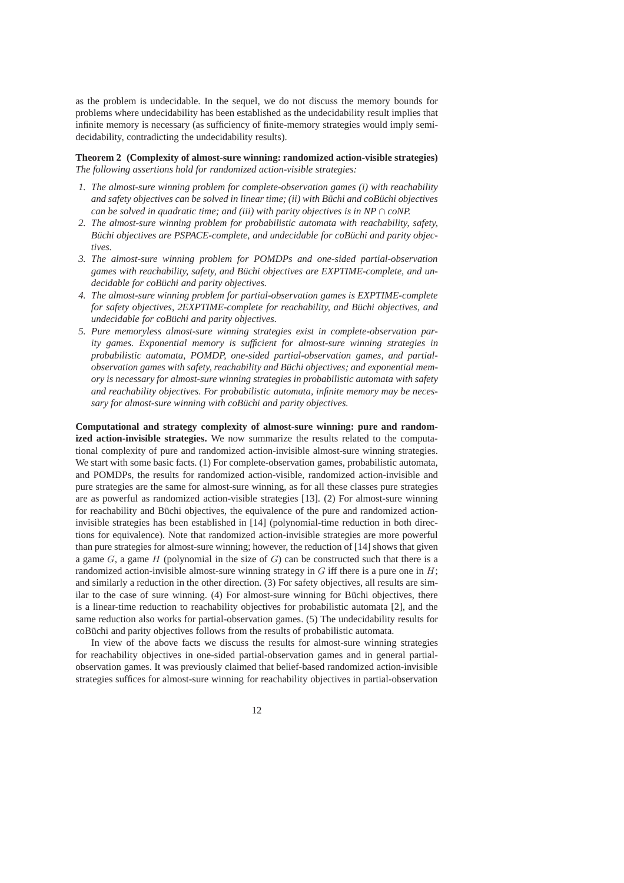as the problem is undecidable. In the sequel, we do not discuss the memory bounds for problems where undecidability has been established as the undecidability result implies that infinite memory is necessary (as sufficiency of finite-memory strategies would imply semidecidability, contradicting the undecidability results).

**Theorem 2 (Complexity of almost-sure winning: randomized action-visible strategies)** *The following assertions hold for randomized action-visible strategies:*

- *1. The almost-sure winning problem for complete-observation games (i) with reachability and safety objectives can be solved in linear time; (ii) with Büchi and coBüchi objectives can be solved in quadratic time; and (iii) with parity objectives is in NP*  $\cap$  *coNP.*
- *2. The almost-sure winning problem for probabilistic automata with reachability, safety, Büchi objectives are PSPACE-complete, and undecidable for coBüchi and parity objectives.*
- *3. The almost-sure winning problem for POMDPs and one-sided partial-observation games with reachability, safety, and Buchi objectives are EXPTIME-complete, and un- ¨ decidable for coBuchi and parity objectives. ¨*
- *4. The almost-sure winning problem for partial-observation games is EXPTIME-complete for safety objectives, 2EXPTIME-complete for reachability, and Büchi objectives, and undecidable for coBuchi and parity objectives. ¨*
- *5. Pure memoryless almost-sure winning strategies exist in complete-observation parity games. Exponential memory is sufficient for almost-sure winning strategies in probabilistic automata, POMDP, one-sided partial-observation games, and partialobservation games with safety, reachability and Buchi objectives; and exponential mem- ¨ ory is necessary for almost-sure winning strategies in probabilistic automata with safety and reachability objectives. For probabilistic automata, infinite memory may be necessary for almost-sure winning with coBuchi and parity objectives. ¨*

**Computational and strategy complexity of almost-sure winning: pure and randomized action-invisible strategies.** We now summarize the results related to the computational complexity of pure and randomized action-invisible almost-sure winning strategies. We start with some basic facts. (1) For complete-observation games, probabilistic automata, and POMDPs, the results for randomized action-visible, randomized action-invisible and pure strategies are the same for almost-sure winning, as for all these classes pure strategies are as powerful as randomized action-visible strategies [13]. (2) For almost-sure winning for reachability and Büchi objectives, the equivalence of the pure and randomized actioninvisible strategies has been established in [14] (polynomial-time reduction in both directions for equivalence). Note that randomized action-invisible strategies are more powerful than pure strategies for almost-sure winning; however, the reduction of [14] shows that given a game  $G$ , a game H (polynomial in the size of  $G$ ) can be constructed such that there is a randomized action-invisible almost-sure winning strategy in  $G$  iff there is a pure one in  $H$ ; and similarly a reduction in the other direction. (3) For safety objectives, all results are similar to the case of sure winning.  $(4)$  For almost-sure winning for Büchi objectives, there is a linear-time reduction to reachability objectives for probabilistic automata [2], and the same reduction also works for partial-observation games. (5) The undecidability results for coBüchi and parity objectives follows from the results of probabilistic automata.

In view of the above facts we discuss the results for almost-sure winning strategies for reachability objectives in one-sided partial-observation games and in general partialobservation games. It was previously claimed that belief-based randomized action-invisible strategies suffices for almost-sure winning for reachability objectives in partial-observation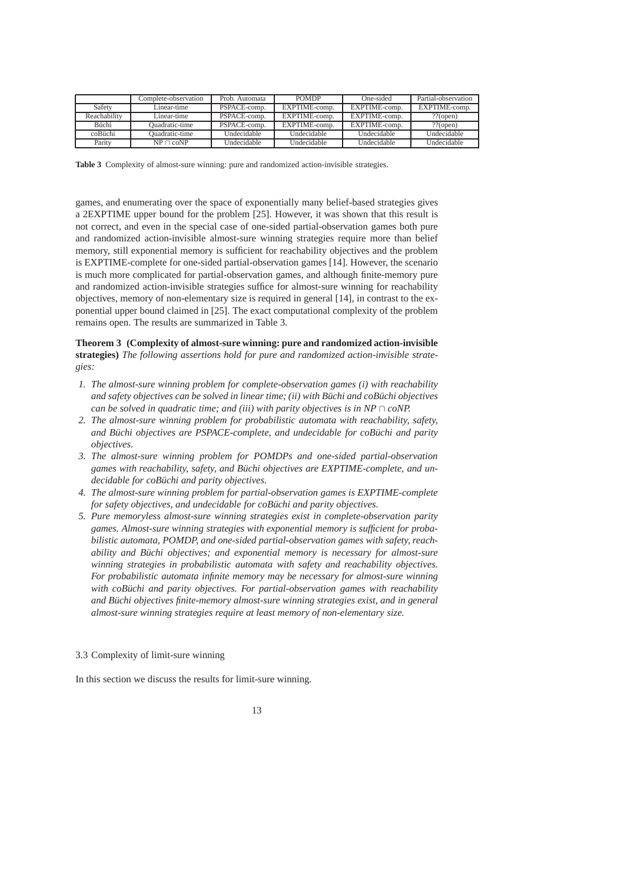|              | Complete-observation | Prob. Automata | <b>POMDP</b>       | One-sided          | Partial-observation |
|--------------|----------------------|----------------|--------------------|--------------------|---------------------|
| Safety       | Linear-time          | PSPACE-comp.   | EXPTIME-comp.      | EXPTIME-comp.      | EXPTIME-comp.       |
| Reachability | Linear-time          | PSPACE-comp.   | EXPTIME-comp.      | EXPTIME-comp.      | $??$ (open)         |
| <b>Büchi</b> | Ouadratic-time       | PSPACE-comp.   | EXPTIME-comp.      | EXPTIME-comp.      | $??$ (open)         |
| coBüchi      | Ouadratic-time       | Undecidable    | <b>Undecidable</b> | <b>Undecidable</b> | <b>Undecidable</b>  |
| Parity       | $NP \cap coNP$       | Undecidable    | Undecidable        | Undecidable        | <b>Undecidable</b>  |

**Table 3** Complexity of almost-sure winning: pure and randomized action-invisible strategies.

games, and enumerating over the space of exponentially many belief-based strategies gives a 2EXPTIME upper bound for the problem [25]. However, it was shown that this result is not correct, and even in the special case of one-sided partial-observation games both pure and randomized action-invisible almost-sure winning strategies require more than belief memory, still exponential memory is sufficient for reachability objectives and the problem is EXPTIME-complete for one-sided partial-observation games [14]. However, the scenario is much more complicated for partial-observation games, and although finite-memory pure and randomized action-invisible strategies suffice for almost-sure winning for reachability objectives, memory of non-elementary size is required in general [14], in contrast to the exponential upper bound claimed in [25]. The exact computational complexity of the problem remains open. The results are summarized in Table 3.

# **Theorem 3 (Complexity of almost-sure winning: pure and randomized action-invisible strategies)** *The following assertions hold for pure and randomized action-invisible strategies:*

- *1. The almost-sure winning problem for complete-observation games (i) with reachability and safety objectives can be solved in linear time; (ii) with Buchi and coBuchi objectives can be solved in quadratic time; and (iii) with parity objectives is in NP*  $\cap$  *coNP.*
- *2. The almost-sure winning problem for probabilistic automata with reachability, safety, and Büchi objectives are PSPACE-complete, and undecidable for coBüchi and parity objectives.*
- *3. The almost-sure winning problem for POMDPs and one-sided partial-observation games with reachability, safety, and Buchi objectives are EXPTIME-complete, and un- ¨ decidable for coBuchi and parity objectives. ¨*
- *4. The almost-sure winning problem for partial-observation games is EXPTIME-complete for safety objectives, and undecidable for coBüchi and parity objectives.*
- *5. Pure memoryless almost-sure winning strategies exist in complete-observation parity games. Almost-sure winning strategies with exponential memory is sufficient for probabilistic automata, POMDP, and one-sided partial-observation games with safety, reachability and Büchi objectives; and exponential memory is necessary for almost-sure winning strategies in probabilistic automata with safety and reachability objectives. For probabilistic automata infinite memory may be necessary for almost-sure winning with coBuchi and parity objectives. For partial-observation games with reachability and Buchi objectives finite-memory almost-sure winning strateg ¨ ies exist, and in general almost-sure winning strategies require at least memory of non-elementary size.*

#### 3.3 Complexity of limit-sure winning

In this section we discuss the results for limit-sure winning.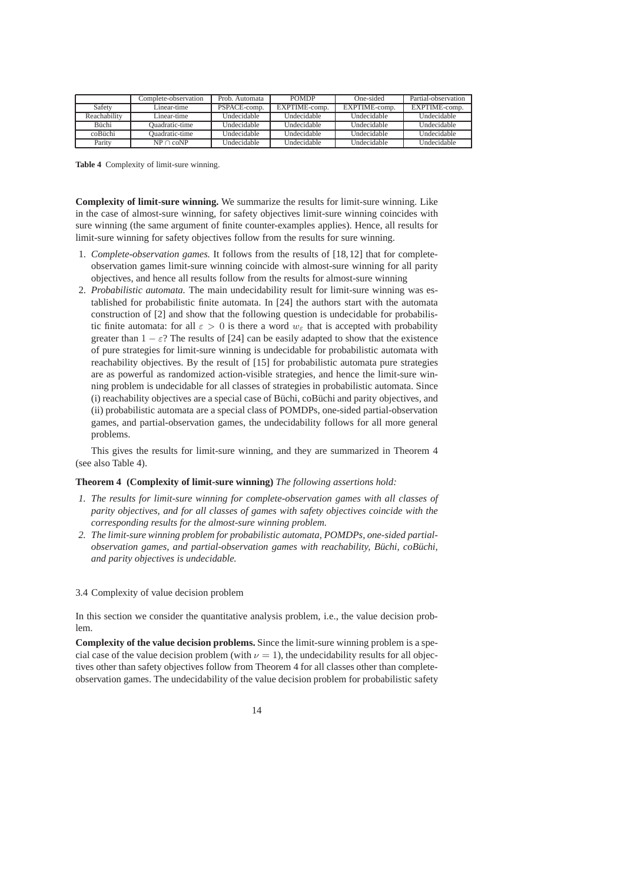|               | complete-observation. | Prob. Automata | <b>POMDP</b>  | One-sided          | Partial-observation |
|---------------|-----------------------|----------------|---------------|--------------------|---------------------|
| Safety        | Linear-time           | PSPACE-comp.   | EXPTIME-comp. | EXPTIME-comp.      | EXPTIME-comp.       |
| Reachability  | Linear-time           | Undecidable    | Undecidable   | <b>Undecidable</b> | Undecidable         |
| <b>Riichi</b> | Ouadratic-time        | Undecidable    | Undecidable   | Undecidable        | Undecidable         |
| coBüchi       | Duadratic-time        | Undecidable    | Undecidable   | Undecidable        | Undecidable         |
| Parity        | $NP \cap coNP$        | Indecidable    | Undecidable   | Undecidable        | Undecidable         |

**Table 4** Complexity of limit-sure winning.

**Complexity of limit-sure winning.** We summarize the results for limit-sure winning. Like in the case of almost-sure winning, for safety objectives limit-sure winning coincides with sure winning (the same argument of finite counter-examples applies). Hence, all results for limit-sure winning for safety objectives follow from the results for sure winning.

- 1. *Complete-observation games.* It follows from the results of [18,12] that for completeobservation games limit-sure winning coincide with almost-sure winning for all parity objectives, and hence all results follow from the results for almost-sure winning
- 2. *Probabilistic automata.* The main undecidability result for limit-sure winning was established for probabilistic finite automata. In [24] the authors start with the automata construction of [2] and show that the following question is undecidable for probabilistic finite automata: for all  $\varepsilon > 0$  is there a word  $w_{\varepsilon}$  that is accepted with probability greater than  $1 - \varepsilon$ ? The results of [24] can be easily adapted to show that the existence of pure strategies for limit-sure winning is undecidable for probabilistic automata with reachability objectives. By the result of [15] for probabilistic automata pure strategies are as powerful as randomized action-visible strategies, and hence the limit-sure winning problem is undecidable for all classes of strategies in probabilistic automata. Since (i) reachability objectives are a special case of Büchi, coBüchi and parity objectives, and (ii) probabilistic automata are a special class of POMDPs, one-sided partial-observation games, and partial-observation games, the undecidability follows for all more general problems.

This gives the results for limit-sure winning, and they are summarized in Theorem 4 (see also Table 4).

### **Theorem 4 (Complexity of limit-sure winning)** *The following assertions hold:*

- *1. The results for limit-sure winning for complete-observation games with all classes of parity objectives, and for all classes of games with safety objectives coincide with the corresponding results for the almost-sure winning problem.*
- *2. The limit-sure winning problem for probabilistic automata, POMDPs, one-sided partialobservation games, and partial-observation games with reachability, Büchi, coBüchi, and parity objectives is undecidable.*

### 3.4 Complexity of value decision problem

In this section we consider the quantitative analysis problem, i.e., the value decision problem.

**Complexity of the value decision problems.** Since the limit-sure winning problem is a special case of the value decision problem (with  $\nu = 1$ ), the undecidability results for all objectives other than safety objectives follow from Theorem 4 for all classes other than completeobservation games. The undecidability of the value decision problem for probabilistic safety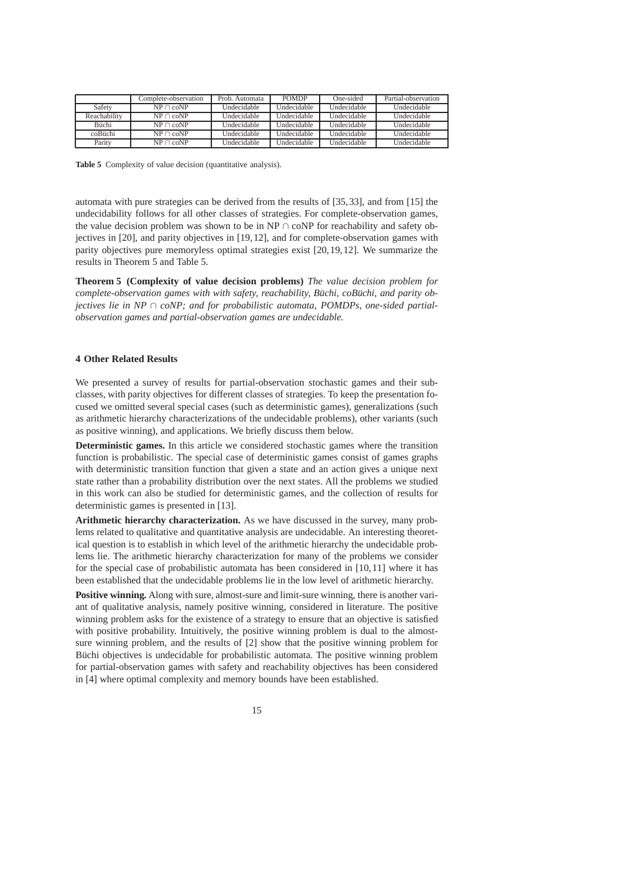|                | Complete-observation | Prob. Automata | <b>POMDP</b> | One-sided          | Partial-observation |
|----------------|----------------------|----------------|--------------|--------------------|---------------------|
| Safety         | $NP \cap coNP$       | Undecidable    | Hndecidable  | <b>Undecidable</b> | Undecidable         |
| Reachability   | $NP \cap coNP$       | Undecidable    | Undecidable  | <b>Undecidable</b> | <b>Undecidable</b>  |
| <b>B</b> iichi | $NP \cap coNP$       | Undecidable.   | Hndecidable  | <b>Undecidable</b> | <b>Undecidable</b>  |
| coBiichi       | $NP \cap coNP$       | Undecidable    | Hndecidable  | <b>Undecidable</b> | <b>Undecidable</b>  |
| Parity         | $NP \cap coNP$       | Undecidable    | Undecidable  | <b>Undecidable</b> | Undecidable         |

**Table 5** Complexity of value decision (quantitative analysis).

automata with pure strategies can be derived from the results of [35,33], and from [15] the undecidability follows for all other classes of strategies. For complete-observation games, the value decision problem was shown to be in NP  $\cap$  coNP for reachability and safety objectives in [20], and parity objectives in [19,12], and for complete-observation games with parity objectives pure memoryless optimal strategies exist [20,19,12]. We summarize the results in Theorem 5 and Table 5.

**Theorem 5 (Complexity of value decision problems)** *The value decision problem for complete-observation games with with safety, reachability, Büchi, coBüchi, and parity objectives lie in NP*  $\cap$  *coNP;* and for probabilistic automata, POMDPs, one-sided partial*observation games and partial-observation games are undecidable.*

### **4 Other Related Results**

We presented a survey of results for partial-observation stochastic games and their subclasses, with parity objectives for different classes of strategies. To keep the presentation focused we omitted several special cases (such as deterministic games), generalizations (such as arithmetic hierarchy characterizations of the undecidable problems), other variants (such as positive winning), and applications. We briefly discuss them below.

**Deterministic games.** In this article we considered stochastic games where the transition function is probabilistic. The special case of deterministic games consist of games graphs with deterministic transition function that given a state and an action gives a unique next state rather than a probability distribution over the next states. All the problems we studied in this work can also be studied for deterministic games, and the collection of results for deterministic games is presented in [13].

**Arithmetic hierarchy characterization.** As we have discussed in the survey, many problems related to qualitative and quantitative analysis are undecidable. An interesting theoretical question is to establish in which level of the arithmetic hierarchy the undecidable problems lie. The arithmetic hierarchy characterization for many of the problems we consider for the special case of probabilistic automata has been considered in [10,11] where it has been established that the undecidable problems lie in the low level of arithmetic hierarchy.

**Positive winning.** Along with sure, almost-sure and limit-sure winning, there is another variant of qualitative analysis, namely positive winning, considered in literature. The positive winning problem asks for the existence of a strategy to ensure that an objective is satisfied with positive probability. Intuitively, the positive winning problem is dual to the almostsure winning problem, and the results of [2] show that the positive winning problem for Büchi objectives is undecidable for probabilistic automata. The positive winning problem for partial-observation games with safety and reachability objectives has been considered in [4] where optimal complexity and memory bounds have been established.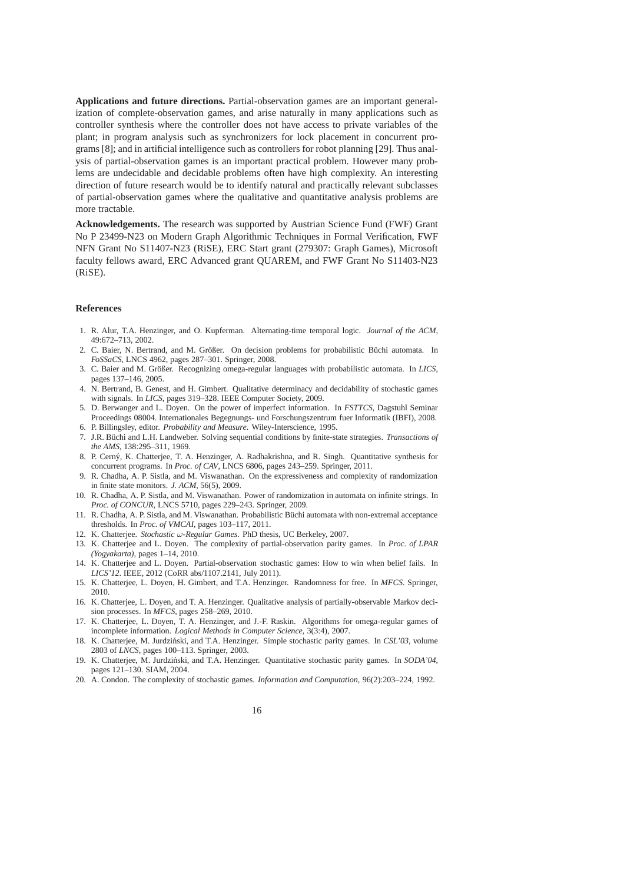**Applications and future directions.** Partial-observation games are an important generalization of complete-observation games, and arise naturally in many applications such as controller synthesis where the controller does not have access to private variables of the plant; in program analysis such as synchronizers for lock placement in concurrent programs [8]; and in artificial intelligence such as controllers for robot planning [29]. Thus analysis of partial-observation games is an important practical problem. However many problems are undecidable and decidable problems often have high complexity. An interesting direction of future research would be to identify natural and practically relevant subclasses of partial-observation games where the qualitative and quantitative analysis problems are more tractable.

**Acknowledgements.** The research was supported by Austrian Science Fund (FWF) Grant No P 23499-N23 on Modern Graph Algorithmic Techniques in Formal Verification, FWF NFN Grant No S11407-N23 (RiSE), ERC Start grant (279307: Graph Games), Microsoft faculty fellows award, ERC Advanced grant QUAREM, and FWF Grant No S11403-N23 (RiSE).

### **References**

- 1. R. Alur, T.A. Henzinger, and O. Kupferman. Alternating-time temporal logic. *Journal of the ACM*, 49:672–713, 2002.
- 2. C. Baier, N. Bertrand, and M. Größer. On decision problems for probabilistic Büchi automata. In *FoSSaCS*, LNCS 4962, pages 287–301. Springer, 2008.
- 3. C. Baier and M. Größer. Recognizing omega-regular languages with probabilistic automata. In *LICS*, pages 137–146, 2005.
- 4. N. Bertrand, B. Genest, and H. Gimbert. Qualitative determinacy and decidability of stochastic games with signals. In *LICS*, pages 319–328. IEEE Computer Society, 2009.
- 5. D. Berwanger and L. Doyen. On the power of imperfect information. In *FSTTCS*, Dagstuhl Seminar Proceedings 08004. Internationales Begegnungs- und Forschungszentrum fuer Informatik (IBFI), 2008.
- 6. P. Billingsley, editor. *Probability and Measure*. Wiley-Interscience, 1995.
- 7. J.R. B¨uchi and L.H. Landweber. Solving sequential conditions by finite-state strategies. *Transactions of the AMS*, 138:295–311, 1969.
- 8. P. Cern´y, K. Chatterjee, T. A. Henzinger, A. Radhakrishna, and R. Singh. Quantitative synthesis for concurrent programs. In *Proc. of CAV*, LNCS 6806, pages 243–259. Springer, 2011.
- 9. R. Chadha, A. P. Sistla, and M. Viswanathan. On the expressiveness and complexity of randomization in finite state monitors. *J. ACM*, 56(5), 2009.
- 10. R. Chadha, A. P. Sistla, and M. Viswanathan. Power of randomization in automata on infinite strings. In *Proc. of CONCUR*, LNCS 5710, pages 229–243. Springer, 2009.
- 11. R. Chadha, A. P. Sistla, and M. Viswanathan. Probabilistic Büchi automata with non-extremal acceptance thresholds. In *Proc. of VMCAI*, pages 103–117, 2011.
- 12. K. Chatterjee. *Stochastic* ω*-Regular Games*. PhD thesis, UC Berkeley, 2007.
- 13. K. Chatterjee and L. Doyen. The complexity of partial-observation parity games. In *Proc. of LPAR (Yogyakarta)*, pages 1–14, 2010.
- 14. K. Chatterjee and L. Doyen. Partial-observation stochastic games: How to win when belief fails. In *LICS'12*. IEEE, 2012 (CoRR abs/1107.2141, July 2011).
- 15. K. Chatterjee, L. Doyen, H. Gimbert, and T.A. Henzinger. Randomness for free. In *MFCS*. Springer, 2010.
- 16. K. Chatterjee, L. Doyen, and T. A. Henzinger. Qualitative analysis of partially-observable Markov decision processes. In *MFCS*, pages 258–269, 2010.
- 17. K. Chatterjee, L. Doyen, T. A. Henzinger, and J.-F. Raskin. Algorithms for omega-regular games of incomplete information. *Logical Methods in Computer Science*, 3(3:4), 2007.
- 18. K. Chatterjee, M. Jurdziński, and T.A. Henzinger. Simple stochastic parity games. In *CSL'03*, volume 2803 of *LNCS*, pages 100–113. Springer, 2003.
- 19. K. Chatterjee, M. Jurdziński, and T.A. Henzinger. Quantitative stochastic parity games. In *SODA'04*, pages 121–130. SIAM, 2004.
- 20. A. Condon. The complexity of stochastic games. *Information and Computation*, 96(2):203–224, 1992.

16